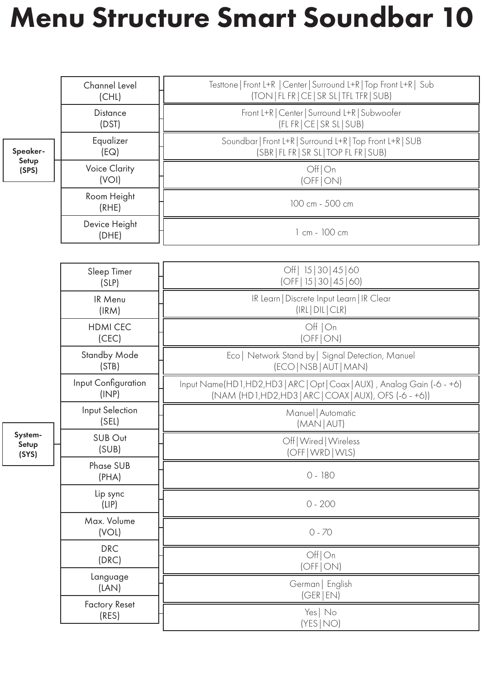## Menu Structure Smart Soundbar 10

|                            | Channel Level<br>(CHL)        | Testtone   Front L+R   Center   Surround L+R   Top Front L+R   Sub<br>(TON   FL FR   CE   SR SL   TFL TFR   SUB)                 |
|----------------------------|-------------------------------|----------------------------------------------------------------------------------------------------------------------------------|
|                            | <b>Distance</b><br>(DST)      | Front L+R   Center   Surround L+R   Subwoofer<br>(FL FR   CE   SR SL   SUB)                                                      |
| Speaker-<br>Setup<br>(SPS) | Equalizer<br>(EQ)             | Soundbar   Front L+R   Surround L+R   Top Front L+R   SUB<br>(SBR   FL FR   SR SL   TOP FL FR   SUB)                             |
|                            | <b>Voice Clarity</b><br>(VOI) | Off On<br>(OFF ON)                                                                                                               |
|                            | Room Height<br>(RHE)          | 100 cm - 500 cm                                                                                                                  |
|                            | Device Height<br>(DHE)        | 1 cm - 100 cm                                                                                                                    |
|                            |                               |                                                                                                                                  |
|                            | Sleep Timer<br>(SLP)          | Off   15   30   45   60<br>(OFF   15   30   45   60)                                                                             |
| System-<br>Setup<br>(SYS)  | IR Menu<br>(IRM)              | IR Learn   Discrete Input Learn   IR Clear<br>(IRL DIL CLR)                                                                      |
|                            | <b>HDMI CEC</b><br>(CEC)      | Off   On<br>(OFF   ON)                                                                                                           |
|                            | <b>Standby Mode</b><br>(STB)  | Eco   Network Stand by   Signal Detection, Manuel<br>(ECO   NSB   AUT   MAN)                                                     |
|                            | Input Configuration<br>(INP)  | Input Name(HD1,HD2,HD3   ARC   Opt   Coax   AUX), Analog Gain (-6 - +6)<br>(NAM (HD1,HD2,HD3   ARC   COAX   AUX), OFS (-6 - +6)) |
|                            | Input Selection<br>(SEL)      | Manuel   Automatic<br>(MAN   AUT)                                                                                                |
|                            | SUB Out<br>(SUB)              | Off   Wired   Wireless<br>(OFF   WRD   WLS)                                                                                      |
|                            | Phase SUB<br>(PHA)            | 0 - 180                                                                                                                          |
|                            | Lip sync<br>(LIP)             | $0 - 200$                                                                                                                        |
|                            | Max. Volume<br>(VOL)          | $0 - 70$                                                                                                                         |
|                            | <b>DRC</b><br>(DRC)           | Off On<br>(OFF ON)                                                                                                               |
|                            | Language<br>(LAN)             | German   English<br>(GER EN)                                                                                                     |
|                            | <b>Factory Reset</b><br>(RES) | Yes No<br>(YES NO)                                                                                                               |
|                            |                               |                                                                                                                                  |